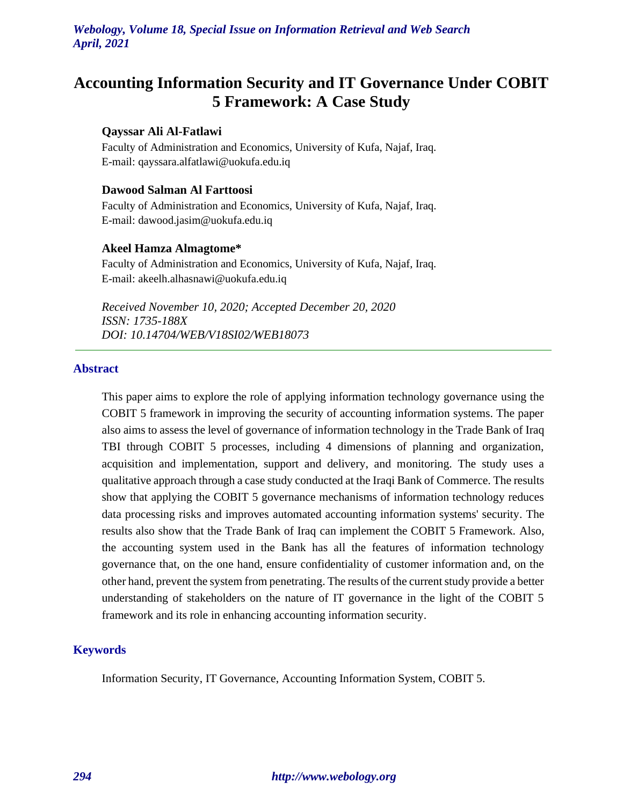# **Accounting Information Security and IT Governance Under COBIT 5 Framework: A Case Study**

#### **Qayssar Ali Al-Fatlawi**

Faculty of Administration and Economics, University of Kufa, Najaf, Iraq. E-mail: [qayssara.alfatlawi@uokufa.edu.iq](mailto:anaama.meteb@uokufa.edu.iq)

### **Dawood Salman Al Farttoosi**

Faculty of Administration and Economics, University of Kufa, Najaf, Iraq. E-mail: [dawood.jasim@uokufa.edu.iq](mailto:Dawood.jasim@uokufa.edu.iq)

#### **Akeel Hamza Almagtome\***

Faculty of Administration and Economics, University of Kufa, Najaf, Iraq. E-mail: [akeelh.alhasnawi@uokufa.edu.iq](mailto:mail:%20akeelh.alhasnawi@uokufa.edu.iq)

*Received November 10, 2020; Accepted December 20, 2020 ISSN: 1735-188X DOI: 10.14704/WEB/V18SI02/WEB18073*

### **Abstract**

This paper aims to explore the role of applying information technology governance using the COBIT 5 framework in improving the security of accounting information systems. The paper also aims to assess the level of governance of information technology in the Trade Bank of Iraq TBI through COBIT 5 processes, including 4 dimensions of planning and organization, acquisition and implementation, support and delivery, and monitoring. The study uses a qualitative approach through a case study conducted at the Iraqi Bank of Commerce. The results show that applying the COBIT 5 governance mechanisms of information technology reduces data processing risks and improves automated accounting information systems' security. The results also show that the Trade Bank of Iraq can implement the COBIT 5 Framework. Also, the accounting system used in the Bank has all the features of information technology governance that, on the one hand, ensure confidentiality of customer information and, on the other hand, prevent the system from penetrating. The results of the current study provide a better understanding of stakeholders on the nature of IT governance in the light of the COBIT 5 framework and its role in enhancing accounting information security.

# **Keywords**

Information Security, IT Governance, Accounting Information System, COBIT 5.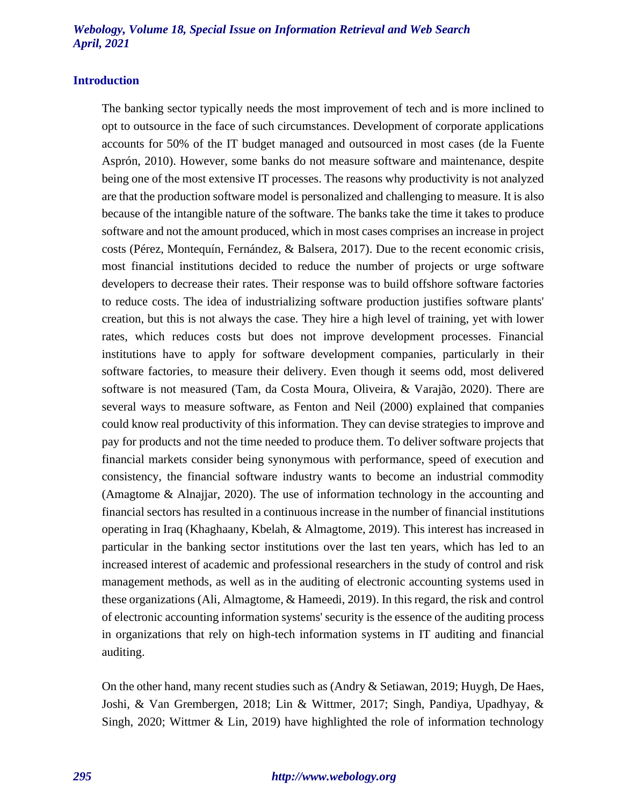#### **Introduction**

The banking sector typically needs the most improvement of tech and is more inclined to opt to outsource in the face of such circumstances. Development of corporate applications accounts for 50% of the IT budget managed and outsourced in most cases (de la Fuente Asprón, 2010). However, some banks do not measure software and maintenance, despite being one of the most extensive IT processes. The reasons why productivity is not analyzed are that the production software model is personalized and challenging to measure. It is also because of the intangible nature of the software. The banks take the time it takes to produce software and not the amount produced, which in most cases comprises an increase in project costs (Pérez, Montequín, Fernández, & Balsera, 2017). Due to the recent economic crisis, most financial institutions decided to reduce the number of projects or urge software developers to decrease their rates. Their response was to build offshore software factories to reduce costs. The idea of industrializing software production justifies software plants' creation, but this is not always the case. They hire a high level of training, yet with lower rates, which reduces costs but does not improve development processes. Financial institutions have to apply for software development companies, particularly in their software factories, to measure their delivery. Even though it seems odd, most delivered software is not measured (Tam, da Costa Moura, Oliveira, & Varajão, 2020). There are several ways to measure software, as Fenton and Neil (2000) explained that companies could know real productivity of this information. They can devise strategies to improve and pay for products and not the time needed to produce them. To deliver software projects that financial markets consider being synonymous with performance, speed of execution and consistency, the financial software industry wants to become an industrial commodity (Amagtome & Alnajjar, 2020). The use of information technology in the accounting and financial sectors has resulted in a continuous increase in the number of financial institutions operating in Iraq (Khaghaany, Kbelah, & Almagtome, 2019). This interest has increased in particular in the banking sector institutions over the last ten years, which has led to an increased interest of academic and professional researchers in the study of control and risk management methods, as well as in the auditing of electronic accounting systems used in these organizations (Ali, Almagtome, & Hameedi, 2019). In this regard, the risk and control of electronic accounting information systems' security is the essence of the auditing process in organizations that rely on high-tech information systems in IT auditing and financial auditing.

On the other hand, many recent studies such as (Andry & Setiawan, 2019; Huygh, De Haes, Joshi, & Van Grembergen, 2018; Lin & Wittmer, 2017; Singh, Pandiya, Upadhyay, & Singh, 2020; Wittmer & Lin, 2019) have highlighted the role of information technology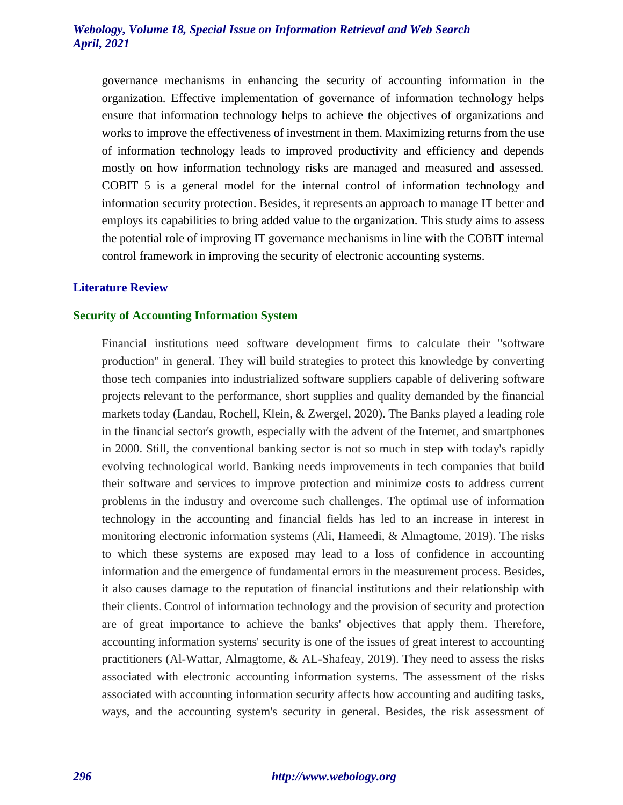governance mechanisms in enhancing the security of accounting information in the organization. Effective implementation of governance of information technology helps ensure that information technology helps to achieve the objectives of organizations and works to improve the effectiveness of investment in them. Maximizing returns from the use of information technology leads to improved productivity and efficiency and depends mostly on how information technology risks are managed and measured and assessed. COBIT 5 is a general model for the internal control of information technology and information security protection. Besides, it represents an approach to manage IT better and employs its capabilities to bring added value to the organization. This study aims to assess the potential role of improving IT governance mechanisms in line with the COBIT internal control framework in improving the security of electronic accounting systems.

# **Literature Review**

#### **Security of Accounting Information System**

Financial institutions need software development firms to calculate their "software production" in general. They will build strategies to protect this knowledge by converting those tech companies into industrialized software suppliers capable of delivering software projects relevant to the performance, short supplies and quality demanded by the financial markets today (Landau, Rochell, Klein, & Zwergel, 2020). The Banks played a leading role in the financial sector's growth, especially with the advent of the Internet, and smartphones in 2000. Still, the conventional banking sector is not so much in step with today's rapidly evolving technological world. Banking needs improvements in tech companies that build their software and services to improve protection and minimize costs to address current problems in the industry and overcome such challenges. The optimal use of information technology in the accounting and financial fields has led to an increase in interest in monitoring electronic information systems (Ali, Hameedi, & Almagtome, 2019). The risks to which these systems are exposed may lead to a loss of confidence in accounting information and the emergence of fundamental errors in the measurement process. Besides, it also causes damage to the reputation of financial institutions and their relationship with their clients. Control of information technology and the provision of security and protection are of great importance to achieve the banks' objectives that apply them. Therefore, accounting information systems' security is one of the issues of great interest to accounting practitioners (Al-Wattar, Almagtome, & AL-Shafeay, 2019). They need to assess the risks associated with electronic accounting information systems. The assessment of the risks associated with accounting information security affects how accounting and auditing tasks, ways, and the accounting system's security in general. Besides, the risk assessment of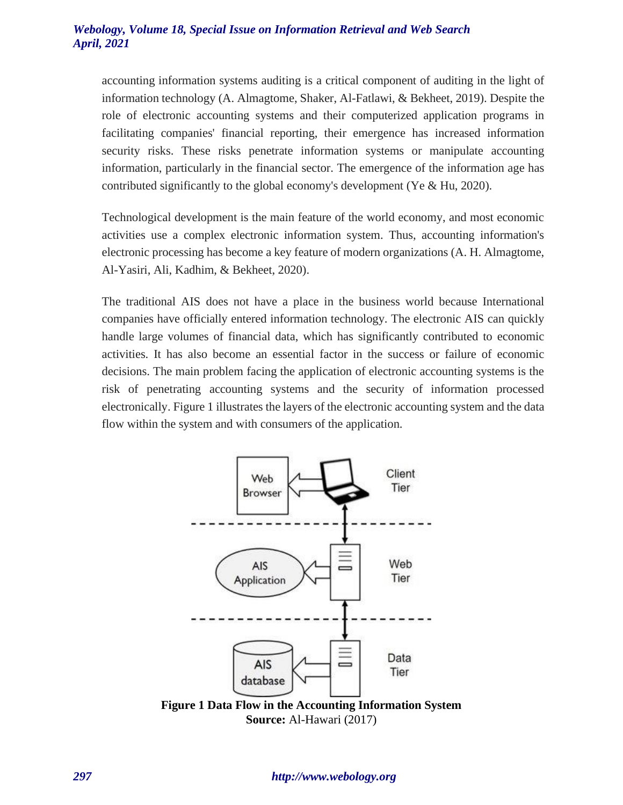accounting information systems auditing is a critical component of auditing in the light of information technology (A. Almagtome, Shaker, Al-Fatlawi, & Bekheet, 2019). Despite the role of electronic accounting systems and their computerized application programs in facilitating companies' financial reporting, their emergence has increased information security risks. These risks penetrate information systems or manipulate accounting information, particularly in the financial sector. The emergence of the information age has contributed significantly to the global economy's development (Ye & Hu, 2020).

Technological development is the main feature of the world economy, and most economic activities use a complex electronic information system. Thus, accounting information's electronic processing has become a key feature of modern organizations (A. H. Almagtome, Al-Yasiri, Ali, Kadhim, & Bekheet, 2020).

The traditional AIS does not have a place in the business world because International companies have officially entered information technology. The electronic AIS can quickly handle large volumes of financial data, which has significantly contributed to economic activities. It has also become an essential factor in the success or failure of economic decisions. The main problem facing the application of electronic accounting systems is the risk of penetrating accounting systems and the security of information processed electronically. Figure 1 illustrates the layers of the electronic accounting system and the data flow within the system and with consumers of the application.



**Source:** Al-Hawari (2017)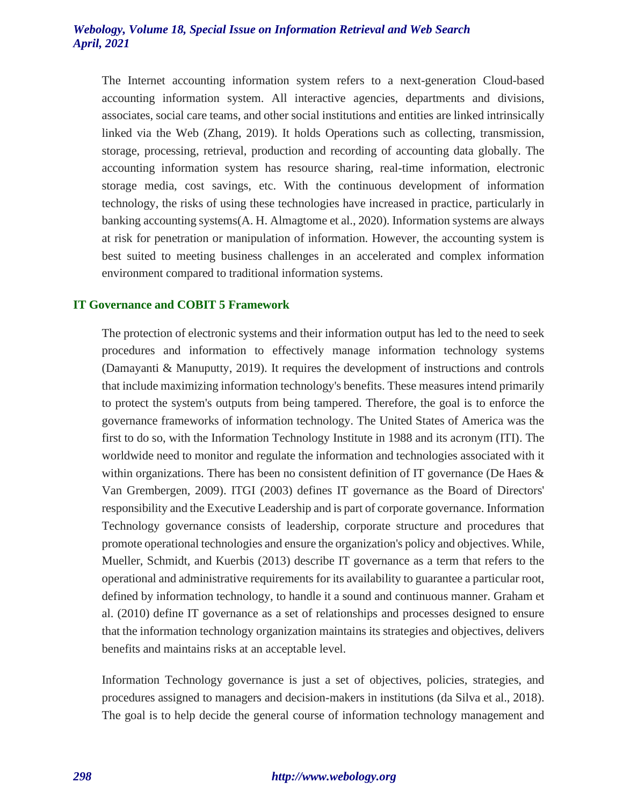The Internet accounting information system refers to a next-generation Cloud-based accounting information system. All interactive agencies, departments and divisions, associates, social care teams, and other social institutions and entities are linked intrinsically linked via the Web (Zhang, 2019). It holds Operations such as collecting, transmission, storage, processing, retrieval, production and recording of accounting data globally. The accounting information system has resource sharing, real-time information, electronic storage media, cost savings, etc. With the continuous development of information technology, the risks of using these technologies have increased in practice, particularly in banking accounting systems(A. H. Almagtome et al., 2020). Information systems are always at risk for penetration or manipulation of information. However, the accounting system is best suited to meeting business challenges in an accelerated and complex information environment compared to traditional information systems.

#### **IT Governance and COBIT 5 Framework**

The protection of electronic systems and their information output has led to the need to seek procedures and information to effectively manage information technology systems (Damayanti & Manuputty, 2019). It requires the development of instructions and controls that include maximizing information technology's benefits. These measures intend primarily to protect the system's outputs from being tampered. Therefore, the goal is to enforce the governance frameworks of information technology. The United States of America was the first to do so, with the Information Technology Institute in 1988 and its acronym (ITI). The worldwide need to monitor and regulate the information and technologies associated with it within organizations. There has been no consistent definition of IT governance (De Haes  $\&$ Van Grembergen, 2009). ITGI (2003) defines IT governance as the Board of Directors' responsibility and the Executive Leadership and is part of corporate governance. Information Technology governance consists of leadership, corporate structure and procedures that promote operational technologies and ensure the organization's policy and objectives. While, Mueller, Schmidt, and Kuerbis (2013) describe IT governance as a term that refers to the operational and administrative requirements for its availability to guarantee a particular root, defined by information technology, to handle it a sound and continuous manner. Graham et al. (2010) define IT governance as a set of relationships and processes designed to ensure that the information technology organization maintains its strategies and objectives, delivers benefits and maintains risks at an acceptable level.

Information Technology governance is just a set of objectives, policies, strategies, and procedures assigned to managers and decision-makers in institutions (da Silva et al., 2018). The goal is to help decide the general course of information technology management and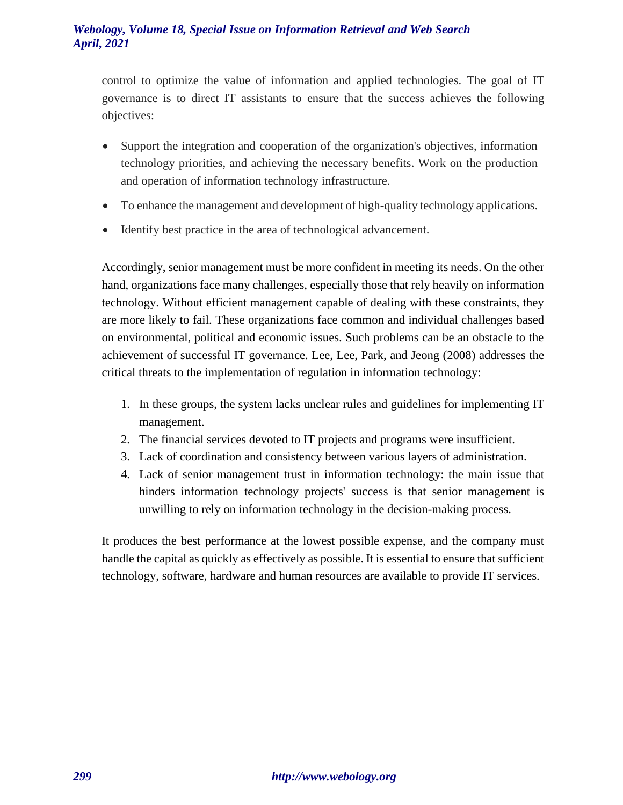control to optimize the value of information and applied technologies. The goal of IT governance is to direct IT assistants to ensure that the success achieves the following objectives:

- Support the integration and cooperation of the organization's objectives, information technology priorities, and achieving the necessary benefits. Work on the production and operation of information technology infrastructure.
- To enhance the management and development of high-quality technology applications.
- Identify best practice in the area of technological advancement.

Accordingly, senior management must be more confident in meeting its needs. On the other hand, organizations face many challenges, especially those that rely heavily on information technology. Without efficient management capable of dealing with these constraints, they are more likely to fail. These organizations face common and individual challenges based on environmental, political and economic issues. Such problems can be an obstacle to the achievement of successful IT governance. Lee, Lee, Park, and Jeong (2008) addresses the critical threats to the implementation of regulation in information technology:

- 1. In these groups, the system lacks unclear rules and guidelines for implementing IT management.
- 2. The financial services devoted to IT projects and programs were insufficient.
- 3. Lack of coordination and consistency between various layers of administration.
- 4. Lack of senior management trust in information technology: the main issue that hinders information technology projects' success is that senior management is unwilling to rely on information technology in the decision-making process.

It produces the best performance at the lowest possible expense, and the company must handle the capital as quickly as effectively as possible. It is essential to ensure that sufficient technology, software, hardware and human resources are available to provide IT services.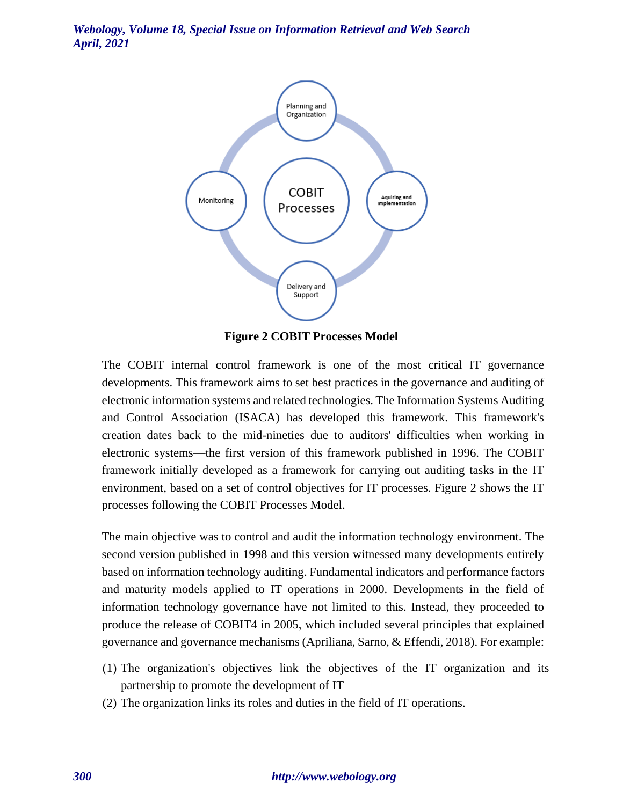

**Figure 2 COBIT Processes Model**

The COBIT internal control framework is one of the most critical IT governance developments. This framework aims to set best practices in the governance and auditing of electronic information systems and related technologies. The Information Systems Auditing and Control Association (ISACA) has developed this framework. This framework's creation dates back to the mid-nineties due to auditors' difficulties when working in electronic systems—the first version of this framework published in 1996. The COBIT framework initially developed as a framework for carrying out auditing tasks in the IT environment, based on a set of control objectives for IT processes. Figure 2 shows the IT processes following the COBIT Processes Model.

The main objective was to control and audit the information technology environment. The second version published in 1998 and this version witnessed many developments entirely based on information technology auditing. Fundamental indicators and performance factors and maturity models applied to IT operations in 2000. Developments in the field of information technology governance have not limited to this. Instead, they proceeded to produce the release of COBIT4 in 2005, which included several principles that explained governance and governance mechanisms (Apriliana, Sarno, & Effendi, 2018). For example:

- (1) The organization's objectives link the objectives of the IT organization and its partnership to promote the development of IT
- (2) The organization links its roles and duties in the field of IT operations.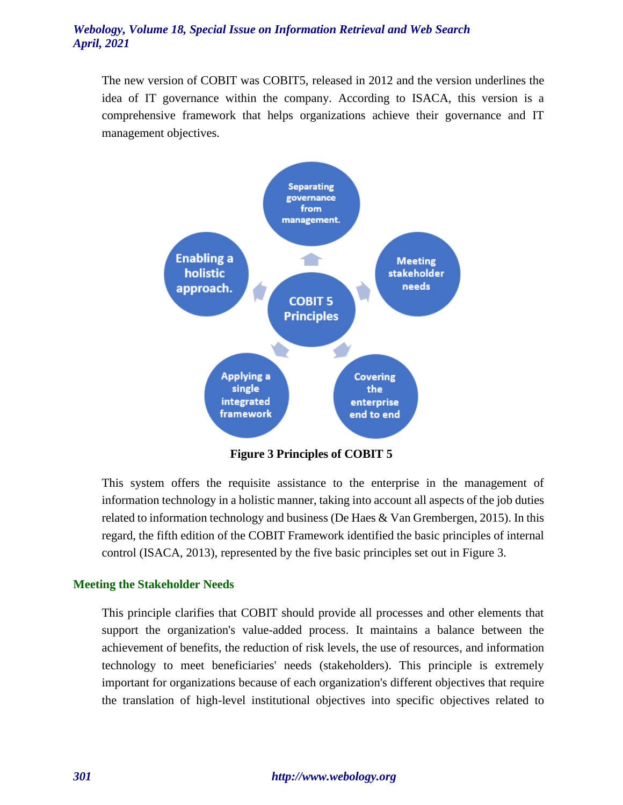The new version of COBIT was COBIT5, released in 2012 and the version underlines the idea of IT governance within the company. According to ISACA, this version is a comprehensive framework that helps organizations achieve their governance and IT management objectives.



**Figure 3 Principles of COBIT 5**

This system offers the requisite assistance to the enterprise in the management of information technology in a holistic manner, taking into account all aspects of the job duties related to information technology and business (De Haes  $&$  Van Grembergen, 2015). In this regard, the fifth edition of the COBIT Framework identified the basic principles of internal control (ISACA, 2013), represented by the five basic principles set out in Figure 3.

#### **Meeting the Stakeholder Needs**

This principle clarifies that COBIT should provide all processes and other elements that support the organization's value-added process. It maintains a balance between the achievement of benefits, the reduction of risk levels, the use of resources, and information technology to meet beneficiaries' needs (stakeholders). This principle is extremely important for organizations because of each organization's different objectives that require the translation of high-level institutional objectives into specific objectives related to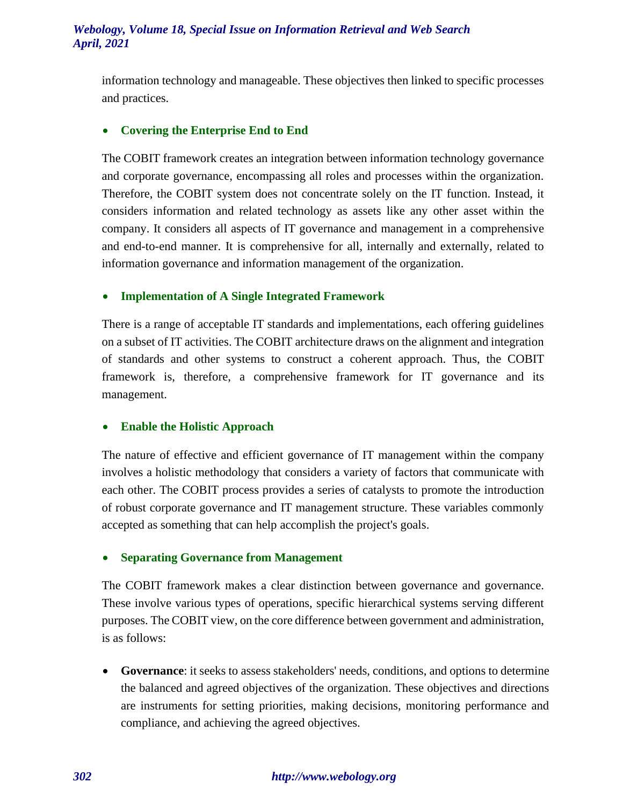information technology and manageable. These objectives then linked to specific processes and practices.

# • **Covering the Enterprise End to End**

The COBIT framework creates an integration between information technology governance and corporate governance, encompassing all roles and processes within the organization. Therefore, the COBIT system does not concentrate solely on the IT function. Instead, it considers information and related technology as assets like any other asset within the company. It considers all aspects of IT governance and management in a comprehensive and end-to-end manner. It is comprehensive for all, internally and externally, related to information governance and information management of the organization.

# • **Implementation of A Single Integrated Framework**

There is a range of acceptable IT standards and implementations, each offering guidelines on a subset of IT activities. The COBIT architecture draws on the alignment and integration of standards and other systems to construct a coherent approach. Thus, the COBIT framework is, therefore, a comprehensive framework for IT governance and its management.

#### • **Enable the Holistic Approach**

The nature of effective and efficient governance of IT management within the company involves a holistic methodology that considers a variety of factors that communicate with each other. The COBIT process provides a series of catalysts to promote the introduction of robust corporate governance and IT management structure. These variables commonly accepted as something that can help accomplish the project's goals.

#### • **Separating Governance from Management**

The COBIT framework makes a clear distinction between governance and governance. These involve various types of operations, specific hierarchical systems serving different purposes. The COBIT view, on the core difference between government and administration, is as follows:

• **Governance**: it seeks to assess stakeholders' needs, conditions, and options to determine the balanced and agreed objectives of the organization. These objectives and directions are instruments for setting priorities, making decisions, monitoring performance and compliance, and achieving the agreed objectives.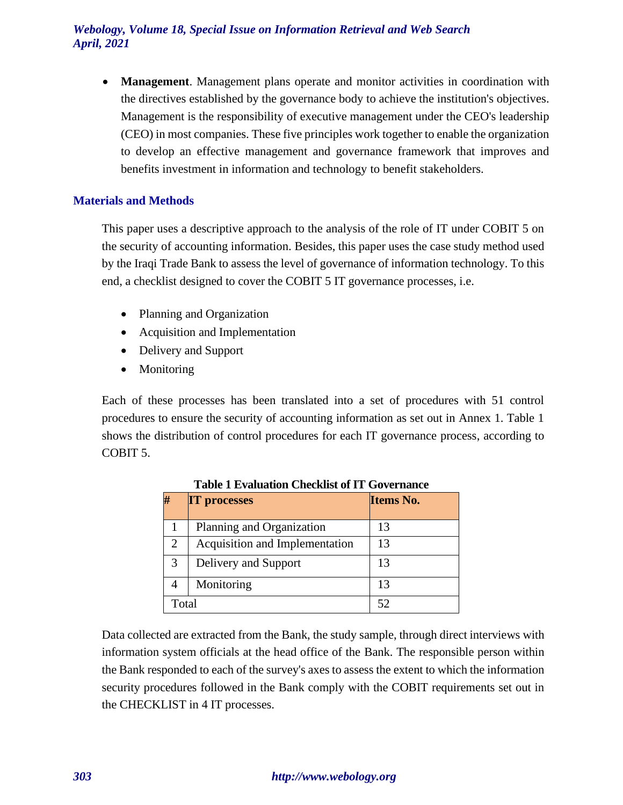• **Management**. Management plans operate and monitor activities in coordination with the directives established by the governance body to achieve the institution's objectives. Management is the responsibility of executive management under the CEO's leadership (CEO) in most companies. These five principles work together to enable the organization to develop an effective management and governance framework that improves and benefits investment in information and technology to benefit stakeholders.

# **Materials and Methods**

This paper uses a descriptive approach to the analysis of the role of IT under COBIT 5 on the security of accounting information. Besides, this paper uses the case study method used by the Iraqi Trade Bank to assess the level of governance of information technology. To this end, a checklist designed to cover the COBIT 5 IT governance processes, i.e.

- Planning and Organization
- Acquisition and Implementation
- Delivery and Support
- Monitoring

Each of these processes has been translated into a set of procedures with 51 control procedures to ensure the security of accounting information as set out in Annex 1. Table 1 shows the distribution of control procedures for each IT governance process, according to COBIT 5.

|                             | <b>IT processes</b>            | Items No. |
|-----------------------------|--------------------------------|-----------|
|                             | Planning and Organization      | 13        |
| $\mathcal{D}_{\mathcal{L}}$ | Acquisition and Implementation | 13        |
| 3                           | Delivery and Support           | 13        |
|                             | Monitoring                     | 13        |
| Total                       |                                | 52        |

**Table 1 Evaluation Checklist of IT Governance**

Data collected are extracted from the Bank, the study sample, through direct interviews with information system officials at the head office of the Bank. The responsible person within the Bank responded to each of the survey's axes to assess the extent to which the information security procedures followed in the Bank comply with the COBIT requirements set out in the CHECKLIST in 4 IT processes.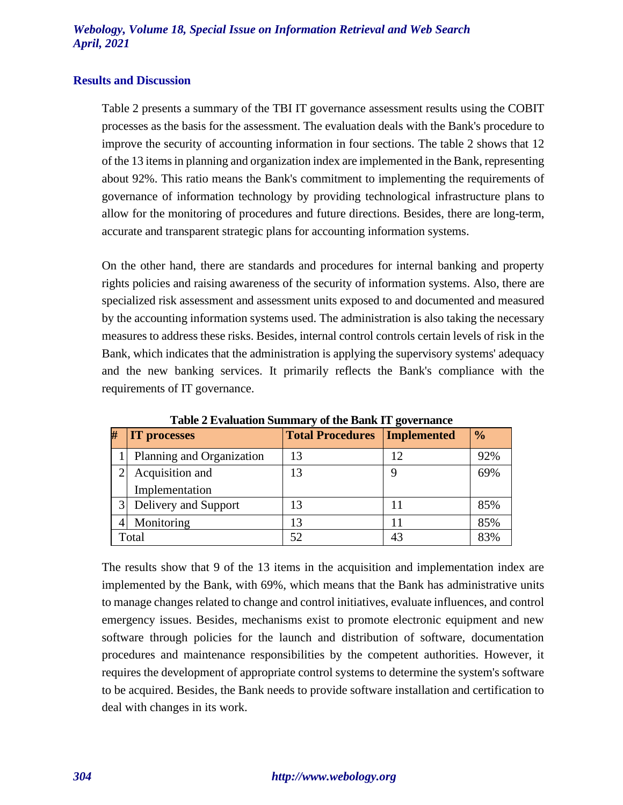#### **Results and Discussion**

Table 2 presents a summary of the TBI IT governance assessment results using the COBIT processes as the basis for the assessment. The evaluation deals with the Bank's procedure to improve the security of accounting information in four sections. The table 2 shows that 12 of the 13 items in planning and organization index are implemented in the Bank, representing about 92%. This ratio means the Bank's commitment to implementing the requirements of governance of information technology by providing technological infrastructure plans to allow for the monitoring of procedures and future directions. Besides, there are long-term, accurate and transparent strategic plans for accounting information systems.

On the other hand, there are standards and procedures for internal banking and property rights policies and raising awareness of the security of information systems. Also, there are specialized risk assessment and assessment units exposed to and documented and measured by the accounting information systems used. The administration is also taking the necessary measures to address these risks. Besides, internal control controls certain levels of risk in the Bank, which indicates that the administration is applying the supervisory systems' adequacy and the new banking services. It primarily reflects the Bank's compliance with the requirements of IT governance.

| H     | <b>IT processes</b>       | <b>Total Procedures</b> | Implemented | $\frac{1}{2}$ |
|-------|---------------------------|-------------------------|-------------|---------------|
|       | Planning and Organization | 13                      | 12          | 92%           |
|       | Acquisition and           | 13                      |             | 69%           |
|       | Implementation            |                         |             |               |
| 3     | Delivery and Support      | 13                      |             | 85%           |
|       | Monitoring                | 13                      |             | 85%           |
| Total |                           | 52                      |             | 83%           |

**Table 2 Evaluation Summary of the Bank IT governance**

The results show that 9 of the 13 items in the acquisition and implementation index are implemented by the Bank, with 69%, which means that the Bank has administrative units to manage changes related to change and control initiatives, evaluate influences, and control emergency issues. Besides, mechanisms exist to promote electronic equipment and new software through policies for the launch and distribution of software, documentation procedures and maintenance responsibilities by the competent authorities. However, it requires the development of appropriate control systems to determine the system's software to be acquired. Besides, the Bank needs to provide software installation and certification to deal with changes in its work.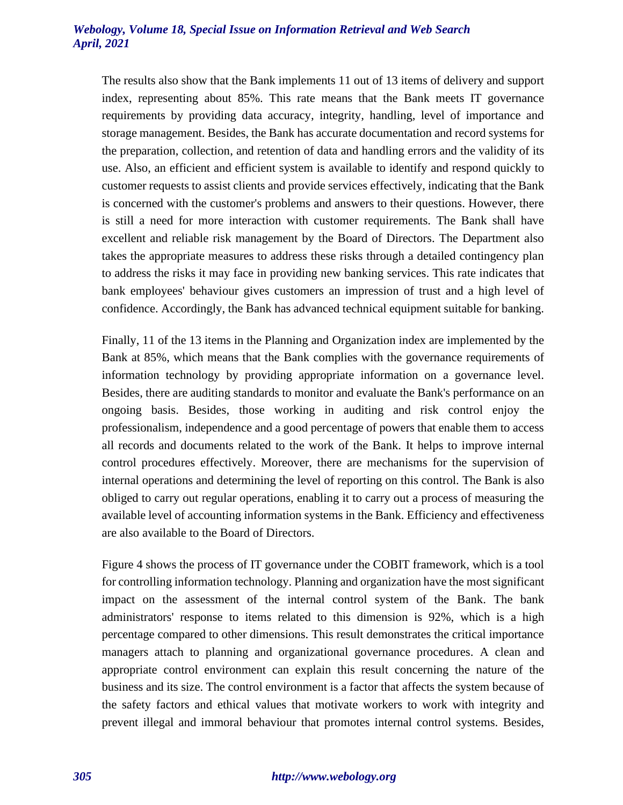The results also show that the Bank implements 11 out of 13 items of delivery and support index, representing about 85%. This rate means that the Bank meets IT governance requirements by providing data accuracy, integrity, handling, level of importance and storage management. Besides, the Bank has accurate documentation and record systems for the preparation, collection, and retention of data and handling errors and the validity of its use. Also, an efficient and efficient system is available to identify and respond quickly to customer requests to assist clients and provide services effectively, indicating that the Bank is concerned with the customer's problems and answers to their questions. However, there is still a need for more interaction with customer requirements. The Bank shall have excellent and reliable risk management by the Board of Directors. The Department also takes the appropriate measures to address these risks through a detailed contingency plan to address the risks it may face in providing new banking services. This rate indicates that bank employees' behaviour gives customers an impression of trust and a high level of confidence. Accordingly, the Bank has advanced technical equipment suitable for banking.

Finally, 11 of the 13 items in the Planning and Organization index are implemented by the Bank at 85%, which means that the Bank complies with the governance requirements of information technology by providing appropriate information on a governance level. Besides, there are auditing standards to monitor and evaluate the Bank's performance on an ongoing basis. Besides, those working in auditing and risk control enjoy the professionalism, independence and a good percentage of powers that enable them to access all records and documents related to the work of the Bank. It helps to improve internal control procedures effectively. Moreover, there are mechanisms for the supervision of internal operations and determining the level of reporting on this control. The Bank is also obliged to carry out regular operations, enabling it to carry out a process of measuring the available level of accounting information systems in the Bank. Efficiency and effectiveness are also available to the Board of Directors.

Figure 4 shows the process of IT governance under the COBIT framework, which is a tool for controlling information technology. Planning and organization have the most significant impact on the assessment of the internal control system of the Bank. The bank administrators' response to items related to this dimension is 92%, which is a high percentage compared to other dimensions. This result demonstrates the critical importance managers attach to planning and organizational governance procedures. A clean and appropriate control environment can explain this result concerning the nature of the business and its size. The control environment is a factor that affects the system because of the safety factors and ethical values that motivate workers to work with integrity and prevent illegal and immoral behaviour that promotes internal control systems. Besides,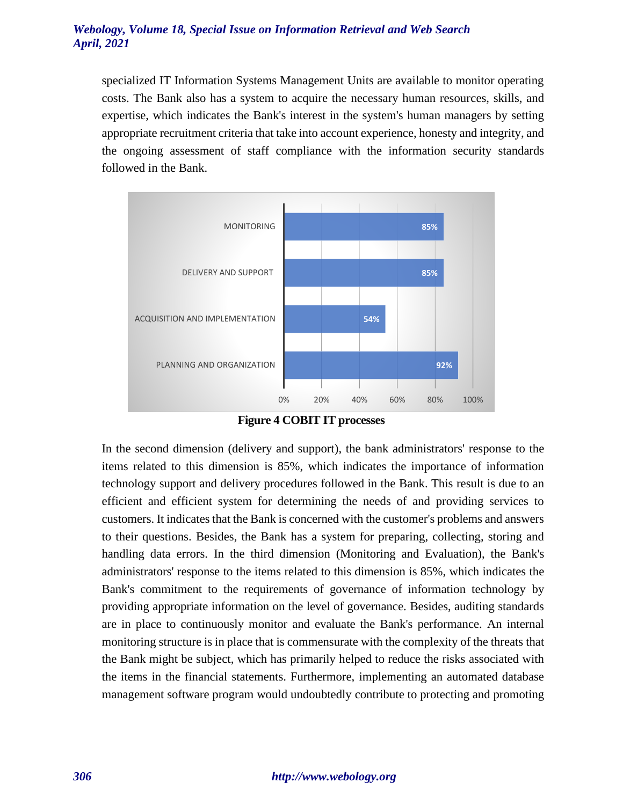specialized IT Information Systems Management Units are available to monitor operating costs. The Bank also has a system to acquire the necessary human resources, skills, and expertise, which indicates the Bank's interest in the system's human managers by setting appropriate recruitment criteria that take into account experience, honesty and integrity, and the ongoing assessment of staff compliance with the information security standards followed in the Bank.



**Figure 4 COBIT IT processes**

In the second dimension (delivery and support), the bank administrators' response to the items related to this dimension is 85%, which indicates the importance of information technology support and delivery procedures followed in the Bank. This result is due to an efficient and efficient system for determining the needs of and providing services to customers. It indicates that the Bank is concerned with the customer's problems and answers to their questions. Besides, the Bank has a system for preparing, collecting, storing and handling data errors. In the third dimension (Monitoring and Evaluation), the Bank's administrators' response to the items related to this dimension is 85%, which indicates the Bank's commitment to the requirements of governance of information technology by providing appropriate information on the level of governance. Besides, auditing standards are in place to continuously monitor and evaluate the Bank's performance. An internal monitoring structure is in place that is commensurate with the complexity of the threats that the Bank might be subject, which has primarily helped to reduce the risks associated with the items in the financial statements. Furthermore, implementing an automated database management software program would undoubtedly contribute to protecting and promoting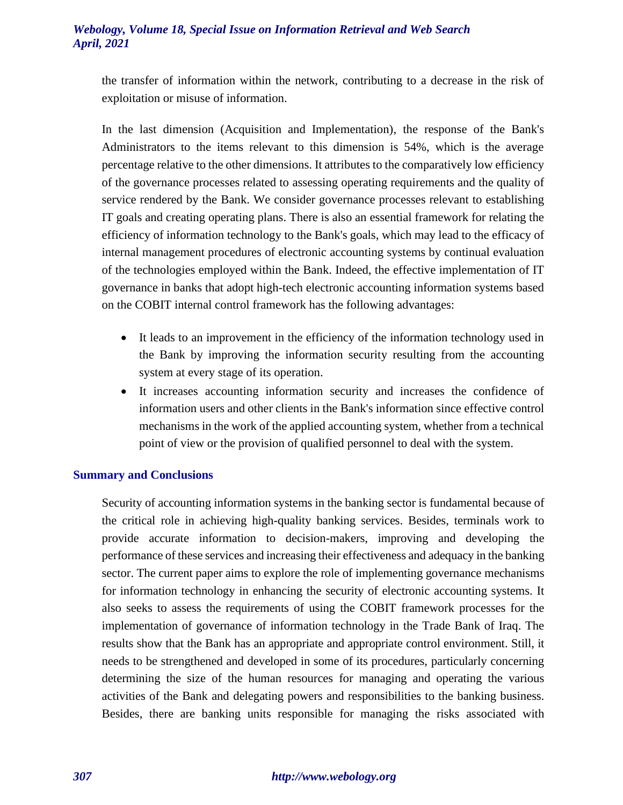the transfer of information within the network, contributing to a decrease in the risk of exploitation or misuse of information.

In the last dimension (Acquisition and Implementation), the response of the Bank's Administrators to the items relevant to this dimension is 54%, which is the average percentage relative to the other dimensions. It attributes to the comparatively low efficiency of the governance processes related to assessing operating requirements and the quality of service rendered by the Bank. We consider governance processes relevant to establishing IT goals and creating operating plans. There is also an essential framework for relating the efficiency of information technology to the Bank's goals, which may lead to the efficacy of internal management procedures of electronic accounting systems by continual evaluation of the technologies employed within the Bank. Indeed, the effective implementation of IT governance in banks that adopt high-tech electronic accounting information systems based on the COBIT internal control framework has the following advantages:

- It leads to an improvement in the efficiency of the information technology used in the Bank by improving the information security resulting from the accounting system at every stage of its operation.
- It increases accounting information security and increases the confidence of information users and other clients in the Bank's information since effective control mechanisms in the work of the applied accounting system, whether from a technical point of view or the provision of qualified personnel to deal with the system.

# **Summary and Conclusions**

Security of accounting information systems in the banking sector is fundamental because of the critical role in achieving high-quality banking services. Besides, terminals work to provide accurate information to decision-makers, improving and developing the performance of these services and increasing their effectiveness and adequacy in the banking sector. The current paper aims to explore the role of implementing governance mechanisms for information technology in enhancing the security of electronic accounting systems. It also seeks to assess the requirements of using the COBIT framework processes for the implementation of governance of information technology in the Trade Bank of Iraq. The results show that the Bank has an appropriate and appropriate control environment. Still, it needs to be strengthened and developed in some of its procedures, particularly concerning determining the size of the human resources for managing and operating the various activities of the Bank and delegating powers and responsibilities to the banking business. Besides, there are banking units responsible for managing the risks associated with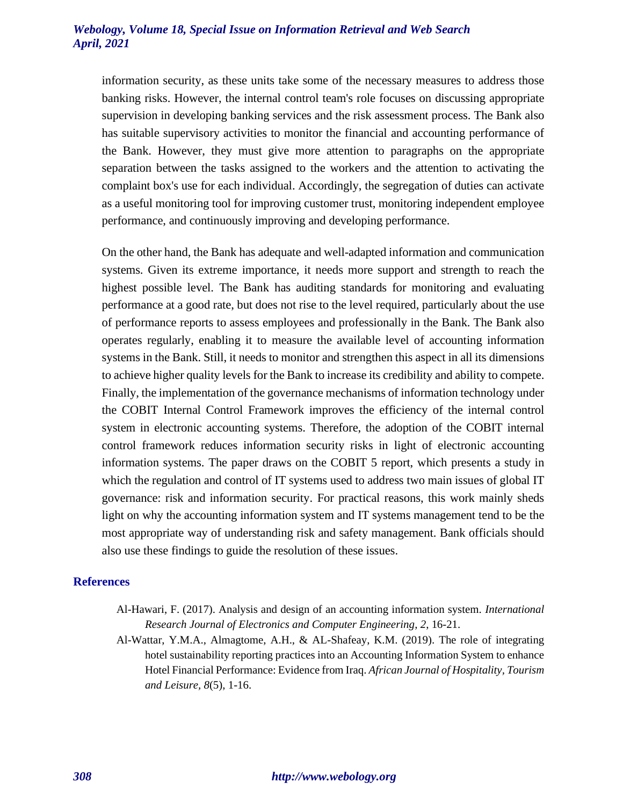information security, as these units take some of the necessary measures to address those banking risks. However, the internal control team's role focuses on discussing appropriate supervision in developing banking services and the risk assessment process. The Bank also has suitable supervisory activities to monitor the financial and accounting performance of the Bank. However, they must give more attention to paragraphs on the appropriate separation between the tasks assigned to the workers and the attention to activating the complaint box's use for each individual. Accordingly, the segregation of duties can activate as a useful monitoring tool for improving customer trust, monitoring independent employee performance, and continuously improving and developing performance.

On the other hand, the Bank has adequate and well-adapted information and communication systems. Given its extreme importance, it needs more support and strength to reach the highest possible level. The Bank has auditing standards for monitoring and evaluating performance at a good rate, but does not rise to the level required, particularly about the use of performance reports to assess employees and professionally in the Bank. The Bank also operates regularly, enabling it to measure the available level of accounting information systems in the Bank. Still, it needs to monitor and strengthen this aspect in all its dimensions to achieve higher quality levels for the Bank to increase its credibility and ability to compete. Finally, the implementation of the governance mechanisms of information technology under the COBIT Internal Control Framework improves the efficiency of the internal control system in electronic accounting systems. Therefore, the adoption of the COBIT internal control framework reduces information security risks in light of electronic accounting information systems. The paper draws on the COBIT 5 report, which presents a study in which the regulation and control of IT systems used to address two main issues of global IT governance: risk and information security. For practical reasons, this work mainly sheds light on why the accounting information system and IT systems management tend to be the most appropriate way of understanding risk and safety management. Bank officials should also use these findings to guide the resolution of these issues.

#### **References**

- Al-Hawari, F. (2017). Analysis and design of an accounting information system. *International Research Journal of Electronics and Computer Engineering*, *2*, 16-21.
- Al-Wattar, Y.M.A., Almagtome, A.H., & AL-Shafeay, K.M. (2019). The role of integrating hotel sustainability reporting practices into an Accounting Information System to enhance Hotel Financial Performance: Evidence from Iraq. *African Journal of Hospitality, Tourism and Leisure, 8*(5), 1-16.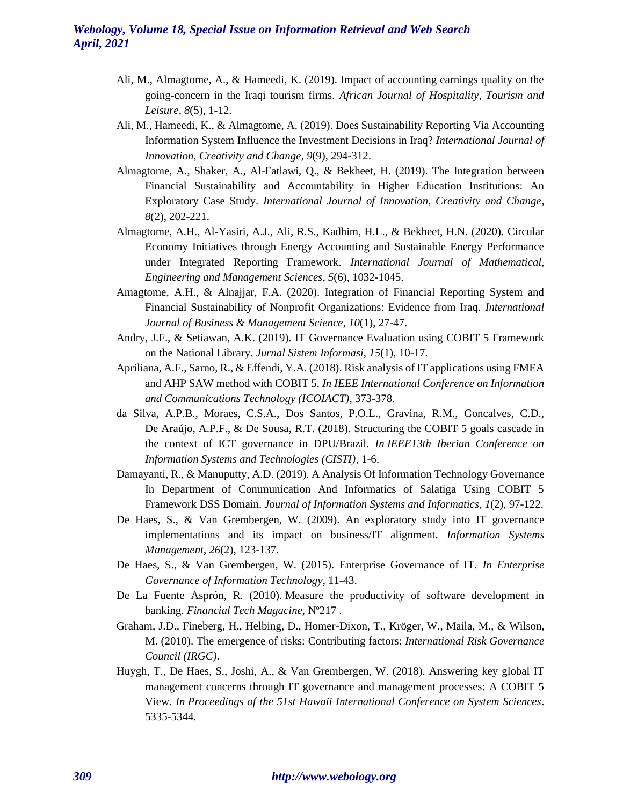- Ali, M., Almagtome, A., & Hameedi, K. (2019). Impact of accounting earnings quality on the going-concern in the Iraqi tourism firms. *African Journal of Hospitality, Tourism and Leisure*, *8*(5), 1-12.
- Ali, M., Hameedi, K., & Almagtome, A. (2019). Does Sustainability Reporting Via Accounting Information System Influence the Investment Decisions in Iraq? *International Journal of Innovation, Creativity and Change*, *9*(9), 294-312.
- Almagtome, A., Shaker, A., Al-Fatlawi, Q., & Bekheet, H. (2019). The Integration between Financial Sustainability and Accountability in Higher Education Institutions: An Exploratory Case Study. *International Journal of Innovation, Creativity and Change*, *8*(2), 202-221.
- Almagtome, A.H., Al-Yasiri, A.J., Ali, R.S., Kadhim, H.L., & Bekheet, H.N. (2020). Circular Economy Initiatives through Energy Accounting and Sustainable Energy Performance under Integrated Reporting Framework. *International Journal of Mathematical, Engineering and Management Sciences*, *5*(6), 1032-1045.
- Amagtome, A.H., & Alnajjar, F.A. (2020). Integration of Financial Reporting System and Financial Sustainability of Nonprofit Organizations: Evidence from Iraq. *International Journal of Business & Management Science*, *10*(1), 27-47.
- Andry, J.F., & Setiawan, A.K. (2019). IT Governance Evaluation using COBIT 5 Framework on the National Library. *Jurnal Sistem Informasi*, *15*(1), 10-17.
- Apriliana, A.F., Sarno, R., & Effendi, Y.A. (2018). Risk analysis of IT applications using FMEA and AHP SAW method with COBIT 5. *In IEEE International Conference on Information and Communications Technology (ICOIACT)*, 373-378.
- da Silva, A.P.B., Moraes, C.S.A., Dos Santos, P.O.L., Gravina, R.M., Goncalves, C.D., De Araújo, A.P.F., & De Sousa, R.T. (2018). Structuring the COBIT 5 goals cascade in the context of ICT governance in DPU/Brazil. *In IEEE13th Iberian Conference on Information Systems and Technologies (CISTI),* 1-6.
- Damayanti, R., & Manuputty, A.D. (2019). A Analysis Of Information Technology Governance In Department of Communication And Informatics of Salatiga Using COBIT 5 Framework DSS Domain. *Journal of Information Systems and Informatics*, *1*(2), 97-122.
- De Haes, S., & Van Grembergen, W. (2009). An exploratory study into IT governance implementations and its impact on business/IT alignment. *Information Systems Management*, *26*(2), 123-137.
- De Haes, S., & Van Grembergen, W. (2015). Enterprise Governance of IT. *In Enterprise Governance of Information Technology*, 11-43.
- De La Fuente Asprón, R. (2010). Measure the productivity of software development in banking. *Financial Tech Magacine,* Nº217 .
- Graham, J.D., Fineberg, H., Helbing, D., Homer-Dixon, T., Kröger, W., Maila, M., & Wilson, M. (2010). The emergence of risks: Contributing factors: *International Risk Governance Council (IRGC)*.
- Huygh, T., De Haes, S., Joshi, A., & Van Grembergen, W. (2018). Answering key global IT management concerns through IT governance and management processes: A COBIT 5 View. *In Proceedings of the 51st Hawaii International Conference on System Sciences*. 5335-5344.